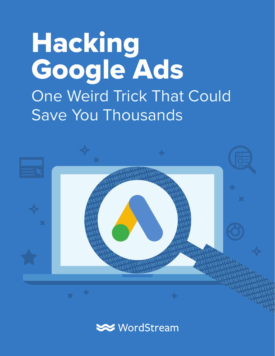# Hacking Google Ads One Weird Trick That Could Save You Thousands



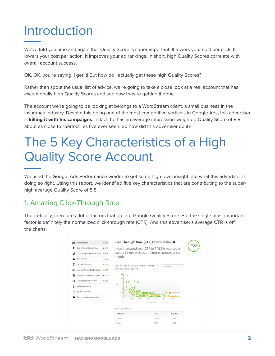## Introduction

We've told you time and again that Quality Score is super important. It lowers your cost per click. It lowers your cost per action. It improves your ad rankings. In short, high Quality Scores correlate with overall account success.

OK, OK, you're saying, I get it! But how do I actually get these high Quality Scores?

Rather than spout the usual list of advice, we're going to take a close look at a real account that has exceptionally high Quality Scores and see how they're getting it done.

The account we're going to be looking at belongs to a WordStream client, a small business in the insurance industry. Despite this being one of the most competitive verticals in Google Ads, this advertiser is **killing it with his campaigns**. In fact, he has an average impression-weighted Quality Score of 8.8 about as close to "perfect" as I've ever seen. So how did this advertiser do it?

## The 5 Key Characteristics of a High Quality Score Account

We used the Google Ads Performance Grader to get some high-level insight into what this advertiser is doing so right. Using this report, we identified five key characteristics that are contributing to the superhigh average Quality Score of 8.8.

#### 1. Amazing Click-Through Rate

Theoretically, there are a lot of factors that go into Google Quality Score. But the single most important factor is definitely the normalized click-through rate (CTR). And this advertiser's average CTR is off the charts:

| σ | Wasted Spend                          | • 50%        | Click Through Rate (CTR) Optimization @                 |                  |                      |    |
|---|---------------------------------------|--------------|---------------------------------------------------------|------------------|----------------------|----|
|   | Quality Score Optimization            | 45%          | If you increased your CTR to 14.89%, you could          | 98%              |                      |    |
| ü | Click Through Rate Optimization . 98% |              | expect 11 more clicks or 0 more conversions a<br>month. |                  |                      |    |
|   | Account Activity                      | <b>• 84%</b> |                                                         |                  |                      |    |
| т | Text Ad Optimization                  | •54%         | Click Through Rate Versus Position on Most              |                  | last 30 days         | ¢. |
| z | Long-Tail Keyword Optimization . 69%  |              | Searched Active Keywords                                |                  |                      |    |
| m | Impression Share Optimization         | $-14%$       | 25<br>$\circ$                                           |                  |                      |    |
| ∩ | Landing Page Optimization             | • 82%        | $20\,$<br>ogo<br>$\circ$<br>15                          |                  |                      |    |
| Π | Mobile Advertising                    |              | <b>CTR</b><br>۰<br>10                                   |                  |                      |    |
| ♡ | <b>PPC Best Practices</b>             |              | $\ddot{\phantom{a}}$                                    |                  | <b>Typical Curve</b> |    |
|   | Recommended Improvements              |              | $\circ$<br>2.5<br>$50 -$                                | 7.5<br>100       | 12.5<br>15.0         |    |
|   |                                       |              |                                                         | Average Position |                      |    |
|   |                                       |              | Your Account CTR                                        |                  |                      |    |
|   |                                       |              | Network                                                 | CTR              | Avg Pos              |    |
|   |                                       |              | Search                                                  | 14.09%           | 2.88                 |    |
|   |                                       |              | Display                                                 | 0.00%            | 0.00                 |    |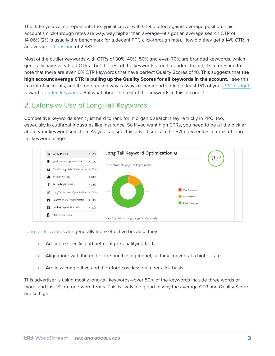That little yellow line represents the typical curve, with CTR plotted against average position. This account's click-through rates are way, way higher than average—it's got an average search CTR of 14.06% (2% is usually the benchmark for a decent PPC click-through rate). How did they get a 14% CTR in an average [ad position](https://www.wordstream.com/blog/ws/2013/02/22/click-through-rate-by-ad-position) of 2.88?

Most of the outlier keywords with CTRs of 30%, 40%, 50% and even 70% are branded keywords, which generally have very high CTRs—but the rest of the keywords aren't branded. In fact, it's interesting to note that there are even 0% CTR keywords that have perfect Quality Scores of 10. This suggests that the high account average CTR is pulling up the Quality Scores for all keywords in the account. I see this in a lot of accounts, and it's one reason why I always recommend slating at least 15% of your [PPC budget](https://www.wordstream.com/blog/ws/2013/08/29/ppc-budget-guide)  toward [branded keywords](https://www.wordstream.com/blog/ws/2017/09/19/whats-a-good-quality-score). But what about the rest of the keywords in this account?

#### 2. Extensive Use of Long-Tail Keywords

Competitive keywords aren't just hard to rank for in organic search; they're tricky in PPC, too, especially in cutthroat industries like insurance. So if you want high CTRs, you need to be a little pickier about your keyword selection. As you can see, this advertiser is in the 87th percentile in terms of longtail keyword usage:



[Long-tail keywords](https://www.wordstream.com/blog/ws/2012/11/07/how-to-find-long-tail-keywords) are generally more effective because they:

- Are more specific and better at pre-qualifying traffic.
- Align more with the end of the purchasing funnel, so they convert at a higher rate.
- Are less competitive and therefore cost less on a per-click basis.

This advertiser is using mostly long-tail keywords—over 80% of the keywords include three words or more, and just 1% are one-word terms. This is likely a big part of why the average CTR and Quality Score are so high.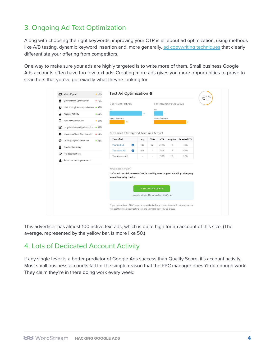#### 3. Ongoing Ad Text Optimization

Along with choosing the right keywords, improving your CTR is all about ad optimization, using methods like A/B testing, dynamic keyword insertion and, more generally, [ad copywriting techniques](https://www.wordstream.com/blog/ws/2016/03/14/ppc-ad-copywriting) that clearly differentiate your offering from competitors.

One way to make sure your ads are highly targeted is to write more of them. Small business Google Ads accounts often have too few text ads. Creating more ads gives you more opportunities to prove to searchers that you've got exactly what they're looking for.

| σ       | Wasted Spend                          | •50%  | Text Ad Optimization @                                                                                                                                                |                                            |                         |                    |                            |                     | 61% |
|---------|---------------------------------------|-------|-----------------------------------------------------------------------------------------------------------------------------------------------------------------------|--------------------------------------------|-------------------------|--------------------|----------------------------|---------------------|-----|
|         | Quality Score Optimization            | •45%  | # of Active Text Ads                                                                                                                                                  |                                            |                         |                    | # of Text Ads Per Ad Group |                     |     |
| نا      | Click Through Rate Optimization . 98% |       | You                                                                                                                                                                   |                                            | You                     |                    |                            |                     |     |
|         | <b>Account Activity</b>               | • 84% |                                                                                                                                                                       | 93                                         |                         |                    |                            |                     |     |
| т       | Text Ad Optimization                  | • 61% | Industry Benchmark<br>48                                                                                                                                              |                                            |                         | Industry Benchmark |                            |                     |     |
| v       | Long-Tail Keyword Optimization . 87%  |       |                                                                                                                                                                       |                                            |                         |                    |                            |                     |     |
| A       | Impression Share Optimization         | • 14% | Best / Worst / Average Text Ads In Your Account                                                                                                                       |                                            |                         |                    |                            |                     |     |
| $\odot$ | Landing Page Optimization             | • 82% | Type of Ad                                                                                                                                                            | Imp                                        | Clicks                  | CTR                | Avg Pos                    | <b>Expected CTR</b> |     |
| Π       | Mobile Advertising                    |       | $\bullet$<br>Your Best Ad                                                                                                                                             | 209                                        | 62                      | 29.7%              | 1.5                        | 4.9%                |     |
| ♡       | PPC Best Practices                    |       | $\bullet$<br>Your Worst Ad                                                                                                                                            | 519                                        | 1                       | 0.8%               | 1.7                        | 4.3%                |     |
|         | Recommended Improvements              |       | Your Average Ad                                                                                                                                                       |                                            |                         | 13.3%              | 2.8                        | 2.6%                |     |
|         |                                       |       | What does it mean?<br>You've written a fair amount of ads, but writing more targeted ads will go a long way<br>toward improving results.                              | using the full WordStream Advisor Platform | <b>IMPROVE YOUR ADS</b> |                    |                            |                     |     |
|         |                                       |       | To get the most out of PPC, target your weakest ads and replace them with new and relevant<br>text ads that feature compelling text and keywords from your ad groups. |                                            |                         |                    |                            |                     |     |

This advertiser has almost 100 active text ads, which is quite high for an account of this size. (The average, represented by the yellow bar, is more like 50.)

#### 4. Lots of Dedicated Account Activity

If any single lever is a better predictor of Google Ads success than Quality Score, it's account activity. Most small business accounts fail for the simple reason that the PPC manager doesn't do enough work. They claim they're in there doing work every week: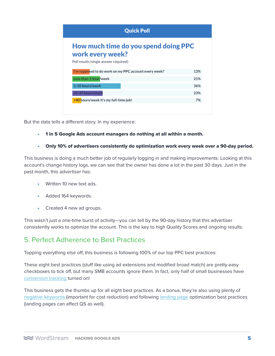| <b>Quick Poll</b>                                                                                  |     |  |  |  |  |  |
|----------------------------------------------------------------------------------------------------|-----|--|--|--|--|--|
| How much time do you spend doing PPC<br>work every week?<br>Poll results (single answer required): |     |  |  |  |  |  |
| I'm supposed to do work on my PPC account every week?                                              | 13% |  |  |  |  |  |
| Less than 1 hour/week                                                                              | 21% |  |  |  |  |  |
| 1-10 hours/week                                                                                    | 36% |  |  |  |  |  |
| 10-39 hours/week                                                                                   | 23% |  |  |  |  |  |
| +40 hours/week It's my full-time job!                                                              | 7%  |  |  |  |  |  |

But the data tells a different story. In my experience:

- 1 in 5 Google Ads account managers do nothing at all within a month.
- Only 10% of advertisers consistently do optimization work every week over a 90-day period.

This business is doing a much better job of regularly logging in and making improvements. Looking at this account's change history logs, we can see that the owner has done a lot in the past 30 days. Just in the past month, this advertiser has:

- Written 10 new text ads.
- Added 164 keywords.
- Created 4 new ad groups.

This wasn't just a one-time burst of activity—you can tell by the 90-day history that this advertiser consistently works to optimize the account. This is the key to high Quality Scores and ongoing results.

#### 5. Perfect Adherence to Best Practices

Topping everything else off, this business is following 100% of our top PPC best practices:

These eight best practices (stuff like using ad extensions and modified broad match) are pretty easy checkboxes to tick off, but many SMB accounts ignore them. In fact, only half of small businesses have [conversion tracking](https://www.wordstream.com/blog/ws/2013/08/13/adwords-conversion-tracking-guide) turned on!

This business gets the thumbs up for all eight best practices. As a bonus, they're also using plenty of [negative keywords](https://www.wordstream.com/negative-keywords) (important for cost reduction) and following [landing page](https://www.wordstream.com/blog/ws/2015/09/02/landing-page-tips-and-tricks) optimization best practices (landing pages can affect QS as well).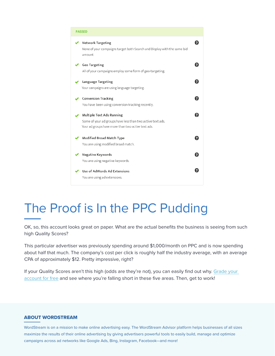| <b>PASSED</b>                                                                                                                                 |  |
|-----------------------------------------------------------------------------------------------------------------------------------------------|--|
| Network Targeting<br>None of your campaigns target both Search and Display with the same bid<br>amount.                                       |  |
| Geo Targeting<br>All of your campaigns employ some form of geo-targeting.                                                                     |  |
| Language Targeting<br>Your campaigns are using language targeting.                                                                            |  |
| <b>Conversion Tracking</b><br>You have been using conversion tracking recently.                                                               |  |
| Multiple Text Ads Running<br>Some of your ad groups have less than two active text ads.<br>Your ad groups have more than two active text ads. |  |
| Modified Broad Match Type<br>You are using modified broad match.                                                                              |  |
| Negative Keywords<br>You are using negative keywords.                                                                                         |  |
| Use of AdWords Ad Extensions<br>You are using ad extensions.                                                                                  |  |

## The Proof is In the PPC Pudding

OK, so, this account looks great on paper. What are the actual benefits the business is seeing from such high Quality Scores?

This particular advertiser was previously spending around \$1,000/month on PPC and is now spending about half that much. The company's cost per click is roughly half the industry average, with an average CPA of approximately \$12. Pretty impressive, right?

If your Quality Scores aren't this high (odds are they're not), you can easily find out why. [Grade your](https://www.wordstream.com/google-adwords)  [account for free](https://www.wordstream.com/google-adwords) and see where you're falling short in these five areas. Then, get to work!

#### ABOUT WORDSTREAM

HACKING GOOGLE ADS 6 campaigns across ad networks like Google Ads, Bing, Instagram, Facebook—and more! WordStream is on a mission to make online advertising easy. The WordStream Advisor platform helps businesses of all sizes maximize the results of their online advertising by giving advertisers powerful tools to easily build, manage and optimize